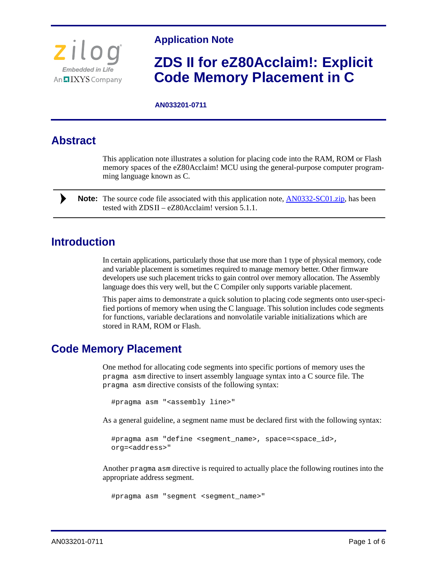

#### **Application Note**

# **ZDS II for eZ80Acclaim!: Explicit Code Memory Placement in C**

#### **AN033201-0711**

## **Abstract**

This application note illustrates a solution for placing code into the RAM, ROM or Flash memory spaces of the eZ80Acclaim! MCU using the general-purpose computer programming language known as C.

Note: The source code file associated with this application note, **[AN0332-SC01.zip](http://www.zilog.com/docs/appnotes/an0332-sc01.zip)**, has been tested with  $ZDSII - eZ80$ Acclaim! version 5.1.1.

## **Introduction**

In certain applications, particularly those that use more than 1 type of physical memory, code and variable placement is sometimes required to manage memory better. Other firmware developers use such placement tricks to gain control over memory allocation. The Assembly language does this very well, but the C Compiler only supports variable placement.

This paper aims to demonstrate a quick solution to placing code segments onto user-specified portions of memory when using the C language. This solution includes code segments for functions, variable declarations and nonvolatile variable initializations which are stored in RAM, ROM or Flash.

### **Code Memory Placement**

One method for allocating code segments into specific portions of memory uses the pragma asm directive to insert assembly language syntax into a C source file. The pragma asm directive consists of the following syntax:

#pragma asm "<assembly line>"

As a general guideline, a segment name must be declared first with the following syntax:

#pragma asm "define <segment\_name>, space=<space\_id>, org=<address>"

Another pragma asm directive is required to actually place the following routines into the appropriate address segment.

#pragma asm "segment <segment\_name>"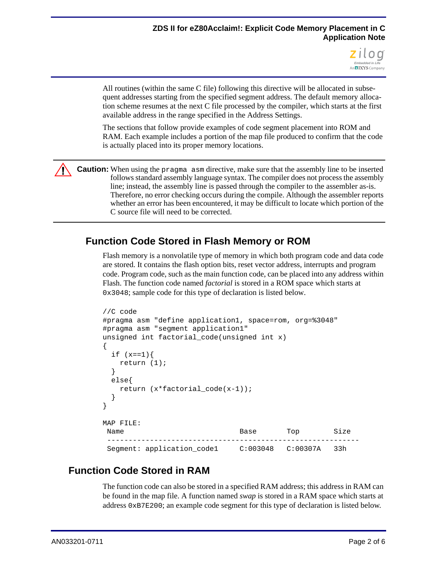

All routines (within the same C file) following this directive will be allocated in subsequent addresses starting from the specified segment address. The default memory allocation scheme resumes at the next C file processed by the compiler, which starts at the first available address in the range specified in the Address Settings.

The sections that follow provide examples of code segment placement into ROM and RAM. Each example includes a portion of the map file produced to confirm that the code is actually placed into its proper memory locations.

**Caution:** When using the pragma asm directive, make sure that the assembly line to be inserted  $\sqrt{N}$ follows standard assembly language syntax. The compiler does not process the assembly line; instead, the assembly line is passed through the compiler to the assembler as-is. Therefore, no error checking occurs during the compile. Although the assembler reports whether an error has been encountered, it may be difficult to locate which portion of the C source file will need to be corrected.

### **Function Code Stored in Flash Memory or ROM**

Flash memory is a nonvolatile type of memory in which both program code and data code are stored. It contains the flash option bits, reset vector address, interrupts and program code. Program code, such as the main function code, can be placed into any address within Flash. The function code named *factorial* is stored in a ROM space which starts at 0x3048; sample code for this type of declaration is listed below.

```
//C code
#pragma asm "define application1, space=rom, org=%3048"
#pragma asm "segment application1"
unsigned int factorial_code(unsigned int x)
{
 if (x == 1) {
   return (1);
 }
 else{
   return (x*factorial_code(x-1));
  }
}
MAP FILE:
Name Size Base Top Size
 -----------------------------------------------------------
 Segment: application_code1 C:003048 C:00307A 33h
```
### **Function Code Stored in RAM**

The function code can also be stored in a specified RAM address; this address in RAM can be found in the map file. A function named *swap* is stored in a RAM space which starts at address 0xB7E200; an example code segment for this type of declaration is listed below.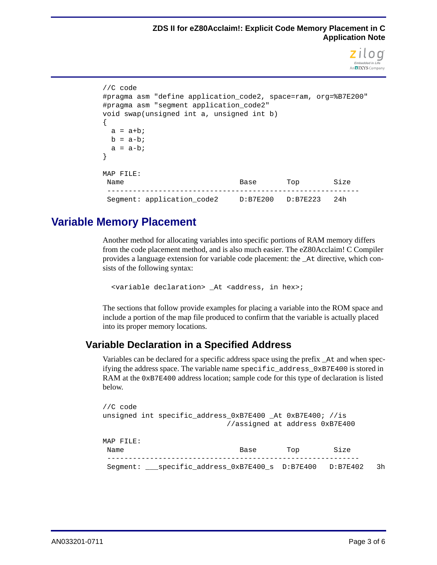

```
//C code
#pragma asm "define application_code2, space=ram, org=%B7E200"
#pragma asm "segment application_code2"
void swap(unsigned int a, unsigned int b)
{
 a = a + bib = a-b;
 a = a-b;
}
MAP FILE:
Name Size Base Top Size
 -----------------------------------------------------------
 Segment: application code2 D:B7E200 D:B7E223 24h
```
## **Variable Memory Placement**

Another method for allocating variables into specific portions of RAM memory differs from the code placement method, and is also much easier. The eZ80Acclaim! C Compiler provides a language extension for variable code placement: the \_At directive, which consists of the following syntax:

<variable declaration> \_At <address, in hex>;

The sections that follow provide examples for placing a variable into the ROM space and include a portion of the map file produced to confirm that the variable is actually placed into its proper memory locations.

#### **Variable Declaration in a Specified Address**

Variables can be declared for a specific address space using the prefix \_At and when specifying the address space. The variable name specific\_address\_0xB7E400 is stored in RAM at the 0xB7E400 address location; sample code for this type of declaration is listed below.

| //C code                                      |                                                           |     |          |    |
|-----------------------------------------------|-----------------------------------------------------------|-----|----------|----|
|                                               | unsigned int specific_address_0xB7E400 _At 0xB7E400; //is |     |          |    |
|                                               | //assigned at address 0xB7E400                            |     |          |    |
|                                               |                                                           |     |          |    |
| MAP FILE:                                     |                                                           |     |          |    |
| Name                                          | Base                                                      | Top | Size     |    |
|                                               |                                                           |     |          |    |
| Seqment: specific address 0xB7E400 s D:B7E400 |                                                           |     | D:B7E402 | 3h |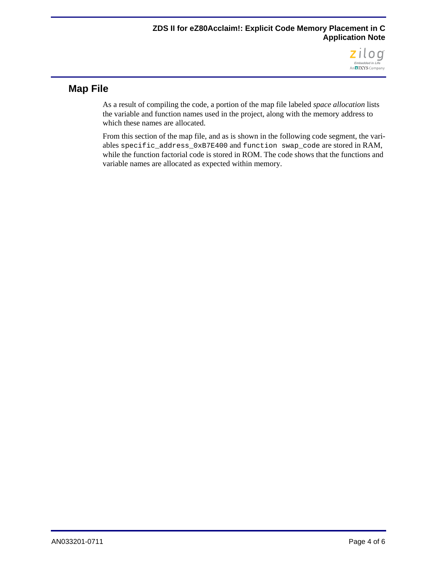

### **Map File**

As a result of compiling the code, a portion of the map file labeled *space allocation* lists the variable and function names used in the project, along with the memory address to which these names are allocated.

From this section of the map file, and as is shown in the following code segment, the variables specific\_address\_0xB7E400 and function swap\_code are stored in RAM, while the function factorial code is stored in ROM. The code shows that the functions and variable names are allocated as expected within memory.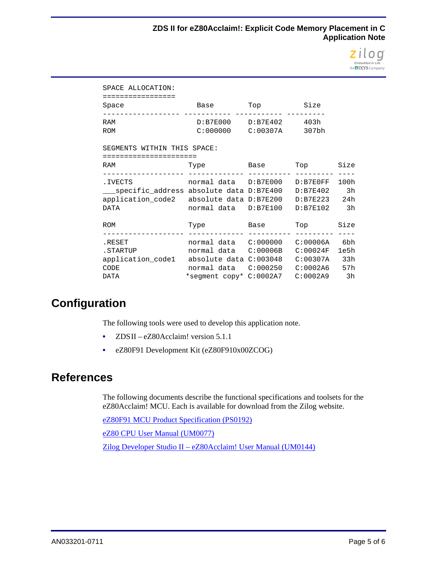

| SPACE ALLOCATION:<br>=================                                                                                                                           |                                                                           |               |  |          |  |  |  |
|------------------------------------------------------------------------------------------------------------------------------------------------------------------|---------------------------------------------------------------------------|---------------|--|----------|--|--|--|
| Space                                                                                                                                                            | Base Top Size                                                             | -----------   |  |          |  |  |  |
| RAM<br><b>ROM</b>                                                                                                                                                | D:B7E000 D:B7E402 403h<br>$C:000000$ $C:00307A$ 307bh                     |               |  |          |  |  |  |
| SEGMENTS WITHIN THIS SPACE:                                                                                                                                      |                                                                           |               |  |          |  |  |  |
| :==================                                                                                                                                              |                                                                           |               |  |          |  |  |  |
| RAM                                                                                                                                                              | Type                                                                      | Base Top Size |  |          |  |  |  |
| .IVECTS<br>___specific_address absolute data D:B7E400                                  D:B7E402<br>application_code2 absolute data D:B7E200 D:B7E223 24h<br>DATA | normal data D:B7E000 D:B7E0FF 100h<br>normal data D:B7E100 D:B7E102       |               |  | 3h<br>3h |  |  |  |
| ROM                                                                                                                                                              | Type Base Top                                                             |               |  | Size     |  |  |  |
| RESET.<br>.STARTUP<br>application_code1 absolute data C:003048 C:00307A 33h<br>CODE<br>DATA                                                                      | normal data C:00006B C:00024F 1e5h<br>*segment copy* C:0002A7 C:0002A9 3h |               |  | 6bh      |  |  |  |

## **Configuration**

The following tools were used to develop this application note.

- ZDSII eZ80Acclaim! version 5.1.1
- **•** eZ80F91 Development Kit (eZ80F910x00ZCOG)

## **References**

The following documents describe the functional specifications and toolsets for the eZ80Acclaim! MCU. Each is available for download from the Zilog website.

[eZ80F91 MCU Product Specification \(PS0192\)](http://www.zilog.com/docs/ez80acclaim/ps0192.pdf)

[eZ80 CPU User Manual \(UM0077\)](http://www.zilog.com/docs/um0077.pdf)

[Zilog Developer Studio II – eZ80Acclaim! User Manual \(UM0144\)](http://www.zilog.com/docs/devtools/um0144.pdf)